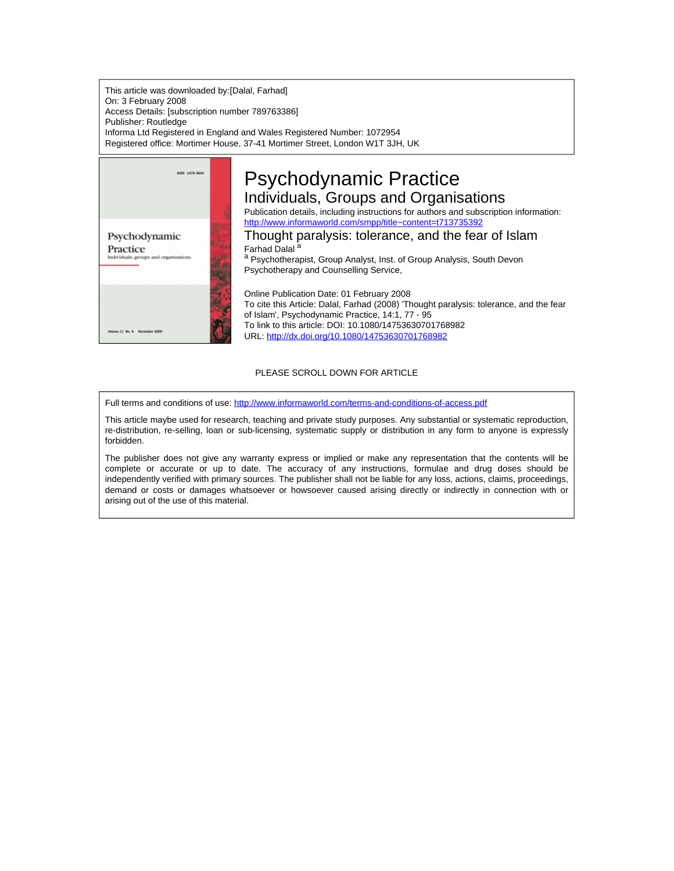This article was downloaded by:[Dalal, Farhad] On: 3 February 2008 Access Details: [subscription number 789763386] Publisher: Routledge Informa Ltd Registered in England and Wales Registered Number: 1072954 Registered office: Mortimer House, 37-41 Mortimer Street, London W1T 3JH, UK



# PLEASE SCROLL DOWN FOR ARTICLE

Full terms and conditions of use: <http://www.informaworld.com/terms-and-conditions-of-access.pdf>

This article maybe used for research, teaching and private study purposes. Any substantial or systematic reproduction, re-distribution, re-selling, loan or sub-licensing, systematic supply or distribution in any form to anyone is expressly forbidden.

The publisher does not give any warranty express or implied or make any representation that the contents will be complete or accurate or up to date. The accuracy of any instructions, formulae and drug doses should be independently verified with primary sources. The publisher shall not be liable for any loss, actions, claims, proceedings, demand or costs or damages whatsoever or howsoever caused arising directly or indirectly in connection with or arising out of the use of this material.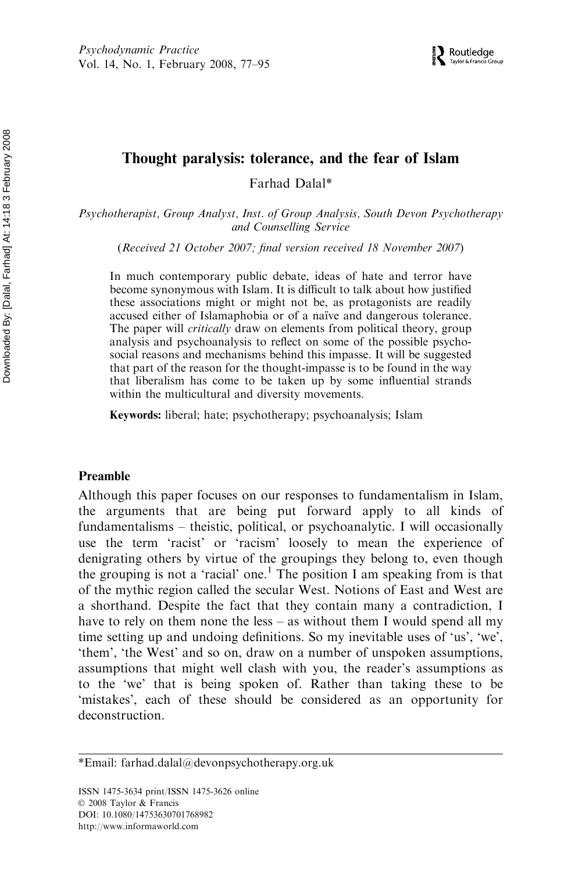# Thought paralysis: tolerance, and the fear of Islam

Farhad Dalal\*

Psychotherapist, Group Analyst, Inst. of Group Analysis, South Devon Psychotherapy and Counselling Service

(Received 21 October 2007; final version received 18 November 2007)

In much contemporary public debate, ideas of hate and terror have become synonymous with Islam. It is difficult to talk about how justified these associations might or might not be, as protagonists are readily accused either of Islamaphobia or of a naïve and dangerous tolerance. The paper will *critically* draw on elements from political theory, group analysis and psychoanalysis to reflect on some of the possible psychosocial reasons and mechanisms behind this impasse. It will be suggested that part of the reason for the thought-impasse is to be found in the way that liberalism has come to be taken up by some influential strands within the multicultural and diversity movements.

Keywords: liberal; hate; psychotherapy; psychoanalysis; Islam

#### Preamble

Although this paper focuses on our responses to fundamentalism in Islam, the arguments that are being put forward apply to all kinds of fundamentalisms – theistic, political, or psychoanalytic. I will occasionally use the term 'racist' or 'racism' loosely to mean the experience of denigrating others by virtue of the groupings they belong to, even though the grouping is not a 'racial' one.<sup>1</sup> The position I am speaking from is that of the mythic region called the secular West. Notions of East and West are a shorthand. Despite the fact that they contain many a contradiction, I have to rely on them none the less – as without them I would spend all my time setting up and undoing definitions. So my inevitable uses of 'us', 'we', 'them', 'the West' and so on, draw on a number of unspoken assumptions, assumptions that might well clash with you, the reader's assumptions as to the 'we' that is being spoken of. Rather than taking these to be 'mistakes', each of these should be considered as an opportunity for deconstruction.

<sup>\*</sup>Email: farhad.dalal@devonpsychotherapy.org.uk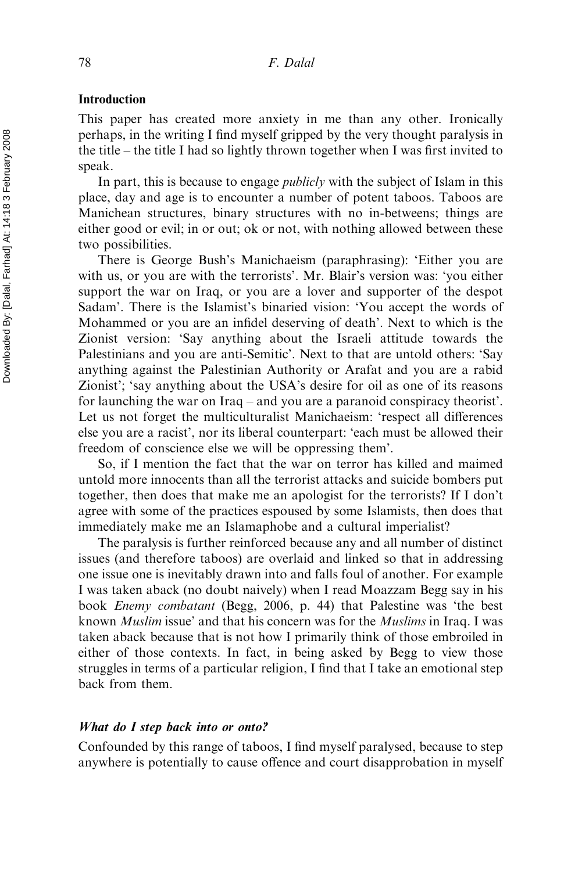# Introduction

This paper has created more anxiety in me than any other. Ironically perhaps, in the writing I find myself gripped by the very thought paralysis in the title – the title I had so lightly thrown together when I was first invited to speak.

In part, this is because to engage *publicly* with the subject of Islam in this place, day and age is to encounter a number of potent taboos. Taboos are Manichean structures, binary structures with no in-betweens; things are either good or evil; in or out; ok or not, with nothing allowed between these two possibilities.

There is George Bush's Manichaeism (paraphrasing): 'Either you are with us, or you are with the terrorists'. Mr. Blair's version was: 'you either support the war on Iraq, or you are a lover and supporter of the despot Sadam'. There is the Islamist's binaried vision: 'You accept the words of Mohammed or you are an infidel deserving of death'. Next to which is the Zionist version: 'Say anything about the Israeli attitude towards the Palestinians and you are anti-Semitic'. Next to that are untold others: 'Say anything against the Palestinian Authority or Arafat and you are a rabid Zionist'; 'say anything about the USA's desire for oil as one of its reasons for launching the war on Iraq – and you are a paranoid conspiracy theorist'. Let us not forget the multiculturalist Manichaeism: 'respect all differences else you are a racist', nor its liberal counterpart: 'each must be allowed their freedom of conscience else we will be oppressing them'.

So, if I mention the fact that the war on terror has killed and maimed untold more innocents than all the terrorist attacks and suicide bombers put together, then does that make me an apologist for the terrorists? If I don't agree with some of the practices espoused by some Islamists, then does that immediately make me an Islamaphobe and a cultural imperialist?

The paralysis is further reinforced because any and all number of distinct issues (and therefore taboos) are overlaid and linked so that in addressing one issue one is inevitably drawn into and falls foul of another. For example I was taken aback (no doubt naively) when I read Moazzam Begg say in his book Enemy combatant (Begg, 2006, p. 44) that Palestine was 'the best known Muslim issue' and that his concern was for the Muslims in Iraq. I was taken aback because that is not how I primarily think of those embroiled in either of those contexts. In fact, in being asked by Begg to view those struggles in terms of a particular religion, I find that I take an emotional step back from them.

### What do I step back into or onto?

Confounded by this range of taboos, I find myself paralysed, because to step anywhere is potentially to cause offence and court disapprobation in myself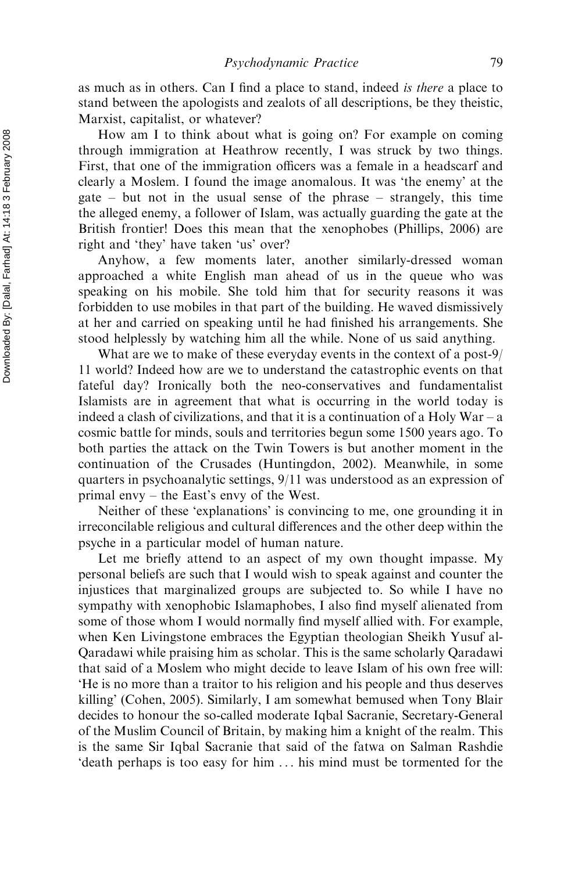as much as in others. Can I find a place to stand, indeed is there a place to stand between the apologists and zealots of all descriptions, be they theistic, Marxist, capitalist, or whatever?

How am I to think about what is going on? For example on coming through immigration at Heathrow recently, I was struck by two things. First, that one of the immigration officers was a female in a headscarf and clearly a Moslem. I found the image anomalous. It was 'the enemy' at the gate – but not in the usual sense of the phrase – strangely, this time the alleged enemy, a follower of Islam, was actually guarding the gate at the British frontier! Does this mean that the xenophobes (Phillips, 2006) are right and 'they' have taken 'us' over?

Anyhow, a few moments later, another similarly-dressed woman approached a white English man ahead of us in the queue who was speaking on his mobile. She told him that for security reasons it was forbidden to use mobiles in that part of the building. He waved dismissively at her and carried on speaking until he had finished his arrangements. She stood helplessly by watching him all the while. None of us said anything.

What are we to make of these everyday events in the context of a post-9/ 11 world? Indeed how are we to understand the catastrophic events on that fateful day? Ironically both the neo-conservatives and fundamentalist Islamists are in agreement that what is occurring in the world today is indeed a clash of civilizations, and that it is a continuation of a Holy War – a cosmic battle for minds, souls and territories begun some 1500 years ago. To both parties the attack on the Twin Towers is but another moment in the continuation of the Crusades (Huntingdon, 2002). Meanwhile, in some quarters in psychoanalytic settings, 9/11 was understood as an expression of primal envy – the East's envy of the West.

Neither of these 'explanations' is convincing to me, one grounding it in irreconcilable religious and cultural differences and the other deep within the psyche in a particular model of human nature.

Let me briefly attend to an aspect of my own thought impasse. My personal beliefs are such that I would wish to speak against and counter the injustices that marginalized groups are subjected to. So while I have no sympathy with xenophobic Islamaphobes, I also find myself alienated from some of those whom I would normally find myself allied with. For example, when Ken Livingstone embraces the Egyptian theologian Sheikh Yusuf al-Qaradawi while praising him as scholar. This is the same scholarly Qaradawi that said of a Moslem who might decide to leave Islam of his own free will: 'He is no more than a traitor to his religion and his people and thus deserves killing' (Cohen, 2005). Similarly, I am somewhat bemused when Tony Blair decides to honour the so-called moderate Iqbal Sacranie, Secretary-General of the Muslim Council of Britain, by making him a knight of the realm. This is the same Sir Iqbal Sacranie that said of the fatwa on Salman Rashdie 'death perhaps is too easy for him . . . his mind must be tormented for the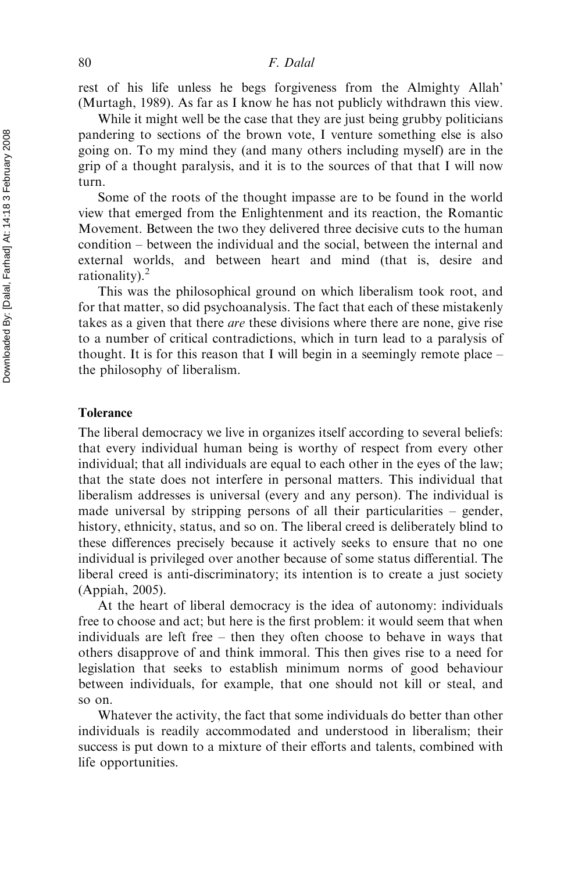rest of his life unless he begs forgiveness from the Almighty Allah' (Murtagh, 1989). As far as I know he has not publicly withdrawn this view.

While it might well be the case that they are just being grubby politicians pandering to sections of the brown vote, I venture something else is also going on. To my mind they (and many others including myself) are in the grip of a thought paralysis, and it is to the sources of that that I will now turn.

Some of the roots of the thought impasse are to be found in the world view that emerged from the Enlightenment and its reaction, the Romantic Movement. Between the two they delivered three decisive cuts to the human condition – between the individual and the social, between the internal and external worlds, and between heart and mind (that is, desire and rationality).<sup>2</sup>

This was the philosophical ground on which liberalism took root, and for that matter, so did psychoanalysis. The fact that each of these mistakenly takes as a given that there are these divisions where there are none, give rise to a number of critical contradictions, which in turn lead to a paralysis of thought. It is for this reason that I will begin in a seemingly remote place – the philosophy of liberalism.

### Tolerance

The liberal democracy we live in organizes itself according to several beliefs: that every individual human being is worthy of respect from every other individual; that all individuals are equal to each other in the eyes of the law; that the state does not interfere in personal matters. This individual that liberalism addresses is universal (every and any person). The individual is made universal by stripping persons of all their particularities – gender, history, ethnicity, status, and so on. The liberal creed is deliberately blind to these differences precisely because it actively seeks to ensure that no one individual is privileged over another because of some status differential. The liberal creed is anti-discriminatory; its intention is to create a just society (Appiah, 2005).

At the heart of liberal democracy is the idea of autonomy: individuals free to choose and act; but here is the first problem: it would seem that when individuals are left free – then they often choose to behave in ways that others disapprove of and think immoral. This then gives rise to a need for legislation that seeks to establish minimum norms of good behaviour between individuals, for example, that one should not kill or steal, and so on.

Whatever the activity, the fact that some individuals do better than other individuals is readily accommodated and understood in liberalism; their success is put down to a mixture of their efforts and talents, combined with life opportunities.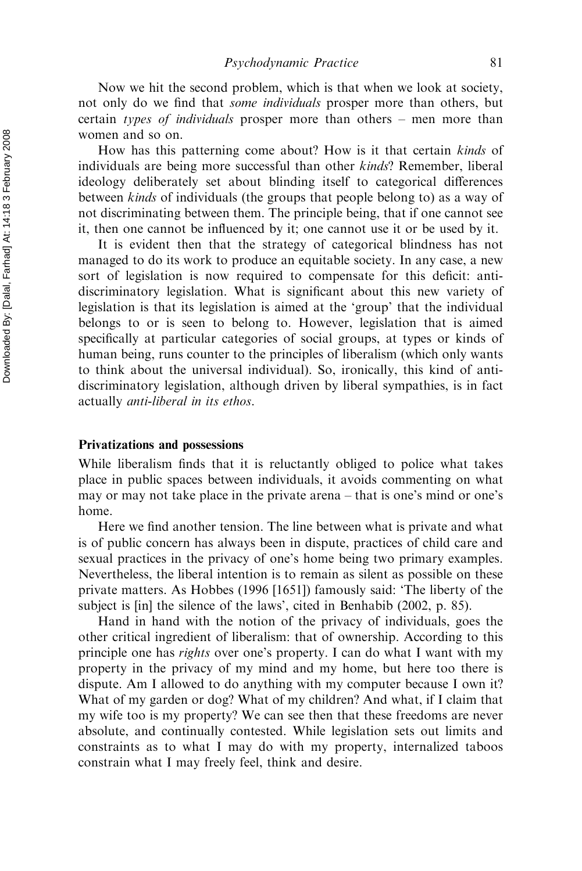Now we hit the second problem, which is that when we look at society, not only do we find that some individuals prosper more than others, but certain types of individuals prosper more than others – men more than women and so on.

How has this patterning come about? How is it that certain *kinds* of individuals are being more successful than other *kinds*? Remember, liberal ideology deliberately set about blinding itself to categorical differences between kinds of individuals (the groups that people belong to) as a way of not discriminating between them. The principle being, that if one cannot see it, then one cannot be influenced by it; one cannot use it or be used by it.

It is evident then that the strategy of categorical blindness has not managed to do its work to produce an equitable society. In any case, a new sort of legislation is now required to compensate for this deficit: antidiscriminatory legislation. What is significant about this new variety of legislation is that its legislation is aimed at the 'group' that the individual belongs to or is seen to belong to. However, legislation that is aimed specifically at particular categories of social groups, at types or kinds of human being, runs counter to the principles of liberalism (which only wants to think about the universal individual). So, ironically, this kind of antidiscriminatory legislation, although driven by liberal sympathies, is in fact actually anti-liberal in its ethos.

### Privatizations and possessions

While liberalism finds that it is reluctantly obliged to police what takes place in public spaces between individuals, it avoids commenting on what may or may not take place in the private arena – that is one's mind or one's home.

Here we find another tension. The line between what is private and what is of public concern has always been in dispute, practices of child care and sexual practices in the privacy of one's home being two primary examples. Nevertheless, the liberal intention is to remain as silent as possible on these private matters. As Hobbes (1996 [1651]) famously said: 'The liberty of the subject is [in] the silence of the laws', cited in Benhabib (2002, p. 85).

Hand in hand with the notion of the privacy of individuals, goes the other critical ingredient of liberalism: that of ownership. According to this principle one has rights over one's property. I can do what I want with my property in the privacy of my mind and my home, but here too there is dispute. Am I allowed to do anything with my computer because I own it? What of my garden or dog? What of my children? And what, if I claim that my wife too is my property? We can see then that these freedoms are never absolute, and continually contested. While legislation sets out limits and constraints as to what I may do with my property, internalized taboos constrain what I may freely feel, think and desire.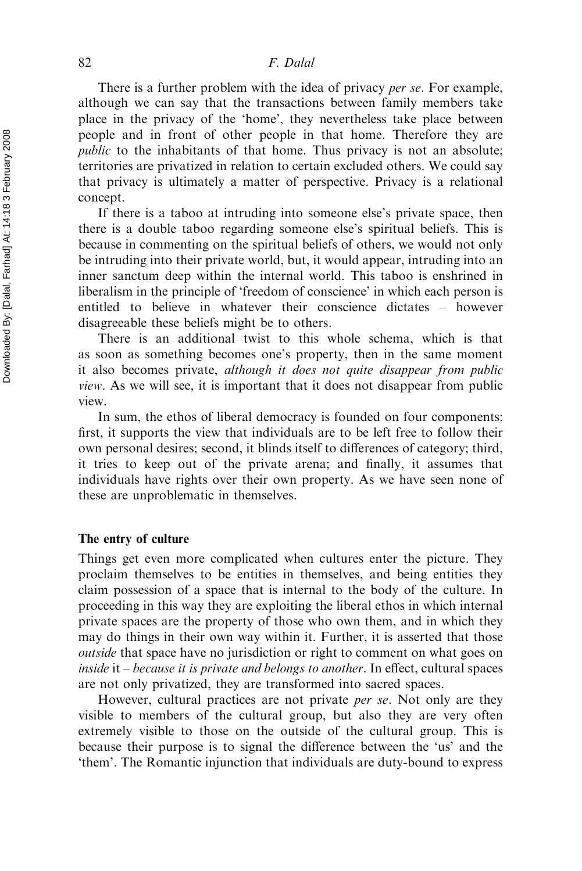### 82 F. Dalal

There is a further problem with the idea of privacy *per se*. For example, although we can say that the transactions between family members take place in the privacy of the 'home', they nevertheless take place between people and in front of other people in that home. Therefore they are public to the inhabitants of that home. Thus privacy is not an absolute; territories are privatized in relation to certain excluded others. We could say that privacy is ultimately a matter of perspective. Privacy is a relational concept.

If there is a taboo at intruding into someone else's private space, then there is a double taboo regarding someone else's spiritual beliefs. This is because in commenting on the spiritual beliefs of others, we would not only be intruding into their private world, but, it would appear, intruding into an inner sanctum deep within the internal world. This taboo is enshrined in liberalism in the principle of 'freedom of conscience' in which each person is entitled to believe in whatever their conscience dictates – however disagreeable these beliefs might be to others.

There is an additional twist to this whole schema, which is that as soon as something becomes one's property, then in the same moment it also becomes private, although it does not quite disappear from public view. As we will see, it is important that it does not disappear from public view.

In sum, the ethos of liberal democracy is founded on four components: first, it supports the view that individuals are to be left free to follow their own personal desires; second, it blinds itself to differences of category; third, it tries to keep out of the private arena; and finally, it assumes that individuals have rights over their own property. As we have seen none of these are unproblematic in themselves.

### The entry of culture

Things get even more complicated when cultures enter the picture. They proclaim themselves to be entities in themselves, and being entities they claim possession of a space that is internal to the body of the culture. In proceeding in this way they are exploiting the liberal ethos in which internal private spaces are the property of those who own them, and in which they may do things in their own way within it. Further, it is asserted that those outside that space have no jurisdiction or right to comment on what goes on inside it  $-$  because it is private and belongs to another. In effect, cultural spaces are not only privatized, they are transformed into sacred spaces.

However, cultural practices are not private *per se*. Not only are they visible to members of the cultural group, but also they are very often extremely visible to those on the outside of the cultural group. This is because their purpose is to signal the difference between the 'us' and the 'them'. The Romantic injunction that individuals are duty-bound to express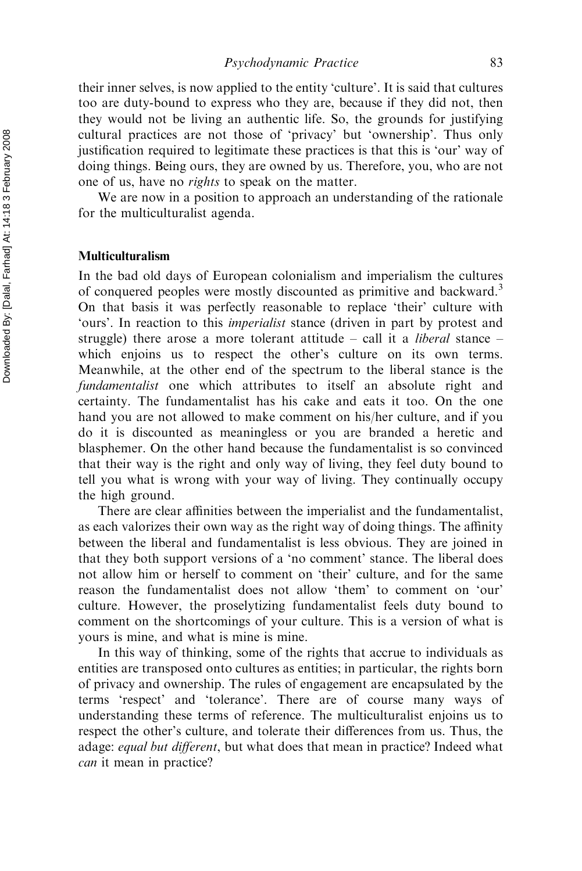their inner selves, is now applied to the entity 'culture'. It is said that cultures too are duty-bound to express who they are, because if they did not, then they would not be living an authentic life. So, the grounds for justifying cultural practices are not those of 'privacy' but 'ownership'. Thus only justification required to legitimate these practices is that this is 'our' way of doing things. Being ours, they are owned by us. Therefore, you, who are not one of us, have no rights to speak on the matter.

We are now in a position to approach an understanding of the rationale for the multiculturalist agenda.

# Multiculturalism

In the bad old days of European colonialism and imperialism the cultures of conquered peoples were mostly discounted as primitive and backward.<sup>3</sup> On that basis it was perfectly reasonable to replace 'their' culture with 'ours'. In reaction to this imperialist stance (driven in part by protest and struggle) there arose a more tolerant attitude – call it a *liberal* stance – which enjoins us to respect the other's culture on its own terms. Meanwhile, at the other end of the spectrum to the liberal stance is the fundamentalist one which attributes to itself an absolute right and certainty. The fundamentalist has his cake and eats it too. On the one hand you are not allowed to make comment on his/her culture, and if you do it is discounted as meaningless or you are branded a heretic and blasphemer. On the other hand because the fundamentalist is so convinced that their way is the right and only way of living, they feel duty bound to tell you what is wrong with your way of living. They continually occupy the high ground.

There are clear affinities between the imperialist and the fundamentalist, as each valorizes their own way as the right way of doing things. The affinity between the liberal and fundamentalist is less obvious. They are joined in that they both support versions of a 'no comment' stance. The liberal does not allow him or herself to comment on 'their' culture, and for the same reason the fundamentalist does not allow 'them' to comment on 'our' culture. However, the proselytizing fundamentalist feels duty bound to comment on the shortcomings of your culture. This is a version of what is yours is mine, and what is mine is mine.

In this way of thinking, some of the rights that accrue to individuals as entities are transposed onto cultures as entities; in particular, the rights born of privacy and ownership. The rules of engagement are encapsulated by the terms 'respect' and 'tolerance'. There are of course many ways of understanding these terms of reference. The multiculturalist enjoins us to respect the other's culture, and tolerate their differences from us. Thus, the adage: equal but different, but what does that mean in practice? Indeed what can it mean in practice?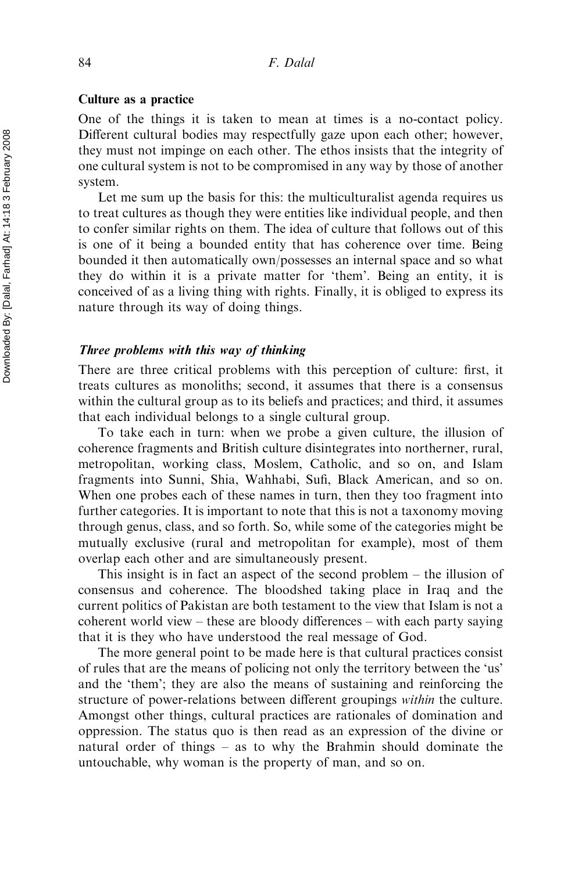### Culture as a practice

One of the things it is taken to mean at times is a no-contact policy. Different cultural bodies may respectfully gaze upon each other; however, they must not impinge on each other. The ethos insists that the integrity of one cultural system is not to be compromised in any way by those of another system.

Let me sum up the basis for this: the multiculturalist agenda requires us to treat cultures as though they were entities like individual people, and then to confer similar rights on them. The idea of culture that follows out of this is one of it being a bounded entity that has coherence over time. Being bounded it then automatically own/possesses an internal space and so what they do within it is a private matter for 'them'. Being an entity, it is conceived of as a living thing with rights. Finally, it is obliged to express its nature through its way of doing things.

# Three problems with this way of thinking

There are three critical problems with this perception of culture: first, it treats cultures as monoliths; second, it assumes that there is a consensus within the cultural group as to its beliefs and practices; and third, it assumes that each individual belongs to a single cultural group.

To take each in turn: when we probe a given culture, the illusion of coherence fragments and British culture disintegrates into northerner, rural, metropolitan, working class, Moslem, Catholic, and so on, and Islam fragments into Sunni, Shia, Wahhabi, Sufi, Black American, and so on. When one probes each of these names in turn, then they too fragment into further categories. It is important to note that this is not a taxonomy moving through genus, class, and so forth. So, while some of the categories might be mutually exclusive (rural and metropolitan for example), most of them overlap each other and are simultaneously present.

This insight is in fact an aspect of the second problem – the illusion of consensus and coherence. The bloodshed taking place in Iraq and the current politics of Pakistan are both testament to the view that Islam is not a coherent world view – these are bloody differences – with each party saying that it is they who have understood the real message of God.

The more general point to be made here is that cultural practices consist of rules that are the means of policing not only the territory between the 'us' and the 'them'; they are also the means of sustaining and reinforcing the structure of power-relations between different groupings within the culture. Amongst other things, cultural practices are rationales of domination and oppression. The status quo is then read as an expression of the divine or natural order of things – as to why the Brahmin should dominate the untouchable, why woman is the property of man, and so on.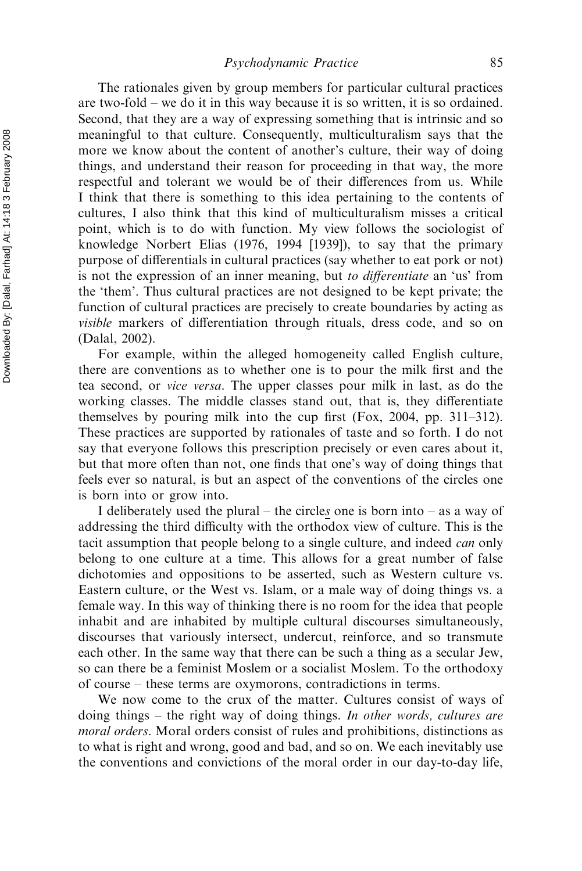The rationales given by group members for particular cultural practices are two-fold – we do it in this way because it is so written, it is so ordained. Second, that they are a way of expressing something that is intrinsic and so meaningful to that culture. Consequently, multiculturalism says that the more we know about the content of another's culture, their way of doing things, and understand their reason for proceeding in that way, the more respectful and tolerant we would be of their differences from us. While I think that there is something to this idea pertaining to the contents of cultures, I also think that this kind of multiculturalism misses a critical point, which is to do with function. My view follows the sociologist of knowledge Norbert Elias (1976, 1994 [1939]), to say that the primary purpose of differentials in cultural practices (say whether to eat pork or not) is not the expression of an inner meaning, but to differentiate an 'us' from the 'them'. Thus cultural practices are not designed to be kept private; the function of cultural practices are precisely to create boundaries by acting as visible markers of differentiation through rituals, dress code, and so on (Dalal, 2002).

For example, within the alleged homogeneity called English culture, there are conventions as to whether one is to pour the milk first and the tea second, or vice versa. The upper classes pour milk in last, as do the working classes. The middle classes stand out, that is, they differentiate themselves by pouring milk into the cup first (Fox, 2004, pp. 311–312). These practices are supported by rationales of taste and so forth. I do not say that everyone follows this prescription precisely or even cares about it, but that more often than not, one finds that one's way of doing things that feels ever so natural, is but an aspect of the conventions of the circles one is born into or grow into.

I deliberately used the plural – the circles one is born into – as a way of addressing the third difficulty with the orthodox view of culture. This is the tacit assumption that people belong to a single culture, and indeed *can* only belong to one culture at a time. This allows for a great number of false dichotomies and oppositions to be asserted, such as Western culture vs. Eastern culture, or the West vs. Islam, or a male way of doing things vs. a female way. In this way of thinking there is no room for the idea that people inhabit and are inhabited by multiple cultural discourses simultaneously, discourses that variously intersect, undercut, reinforce, and so transmute each other. In the same way that there can be such a thing as a secular Jew, so can there be a feminist Moslem or a socialist Moslem. To the orthodoxy of course – these terms are oxymorons, contradictions in terms.

We now come to the crux of the matter. Cultures consist of ways of doing things – the right way of doing things. In other words, cultures are moral orders. Moral orders consist of rules and prohibitions, distinctions as to what is right and wrong, good and bad, and so on. We each inevitably use the conventions and convictions of the moral order in our day-to-day life,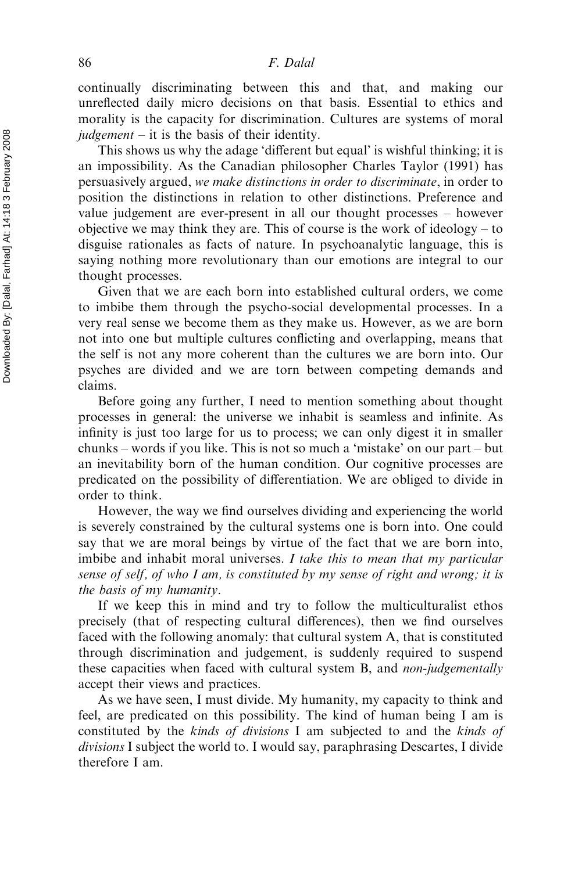continually discriminating between this and that, and making our unreflected daily micro decisions on that basis. Essential to ethics and morality is the capacity for discrimination. Cultures are systems of moral  $judgement - it$  is the basis of their identity.

This shows us why the adage 'different but equal' is wishful thinking; it is an impossibility. As the Canadian philosopher Charles Taylor (1991) has persuasively argued, we make distinctions in order to discriminate, in order to position the distinctions in relation to other distinctions. Preference and value judgement are ever-present in all our thought processes – however objective we may think they are. This of course is the work of ideology  $-$  to disguise rationales as facts of nature. In psychoanalytic language, this is saying nothing more revolutionary than our emotions are integral to our thought processes.

Given that we are each born into established cultural orders, we come to imbibe them through the psycho-social developmental processes. In a very real sense we become them as they make us. However, as we are born not into one but multiple cultures conflicting and overlapping, means that the self is not any more coherent than the cultures we are born into. Our psyches are divided and we are torn between competing demands and claims.

Before going any further, I need to mention something about thought processes in general: the universe we inhabit is seamless and infinite. As infinity is just too large for us to process; we can only digest it in smaller chunks – words if you like. This is not so much a 'mistake' on our part – but an inevitability born of the human condition. Our cognitive processes are predicated on the possibility of differentiation. We are obliged to divide in order to think.

However, the way we find ourselves dividing and experiencing the world is severely constrained by the cultural systems one is born into. One could say that we are moral beings by virtue of the fact that we are born into, imbibe and inhabit moral universes. I take this to mean that my particular sense of self, of who I am, is constituted by my sense of right and wrong; it is the basis of my humanity.

If we keep this in mind and try to follow the multiculturalist ethos precisely (that of respecting cultural differences), then we find ourselves faced with the following anomaly: that cultural system A, that is constituted through discrimination and judgement, is suddenly required to suspend these capacities when faced with cultural system B, and non-judgementally accept their views and practices.

As we have seen, I must divide. My humanity, my capacity to think and feel, are predicated on this possibility. The kind of human being I am is constituted by the kinds of divisions I am subjected to and the kinds of divisions I subject the world to. I would say, paraphrasing Descartes, I divide therefore I am.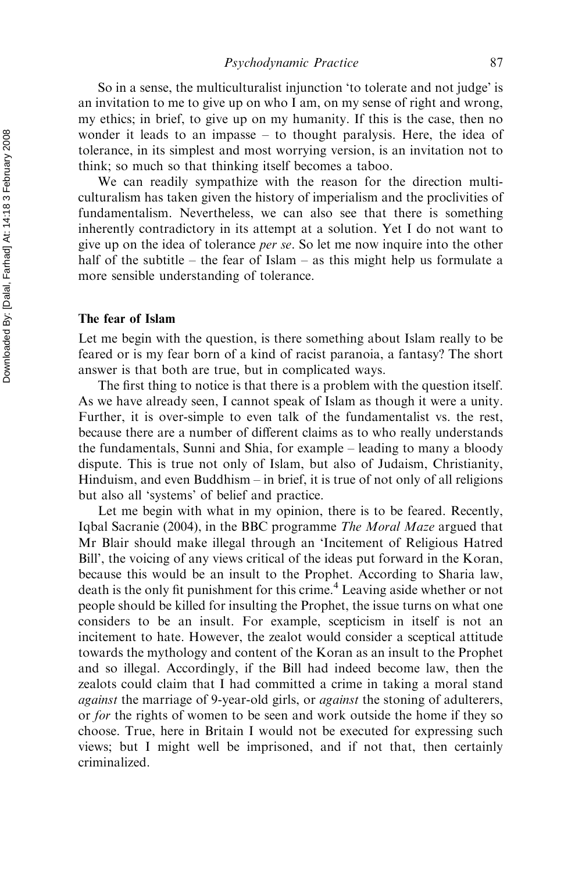Psychodynamic Practice 87

So in a sense, the multiculturalist injunction 'to tolerate and not judge' is an invitation to me to give up on who I am, on my sense of right and wrong, my ethics; in brief, to give up on my humanity. If this is the case, then no wonder it leads to an impasse – to thought paralysis. Here, the idea of tolerance, in its simplest and most worrying version, is an invitation not to think; so much so that thinking itself becomes a taboo.

We can readily sympathize with the reason for the direction multiculturalism has taken given the history of imperialism and the proclivities of fundamentalism. Nevertheless, we can also see that there is something inherently contradictory in its attempt at a solution. Yet I do not want to give up on the idea of tolerance *per se*. So let me now inquire into the other half of the subtitle – the fear of Islam – as this might help us formulate a more sensible understanding of tolerance.

### The fear of Islam

Let me begin with the question, is there something about Islam really to be feared or is my fear born of a kind of racist paranoia, a fantasy? The short answer is that both are true, but in complicated ways.

The first thing to notice is that there is a problem with the question itself. As we have already seen, I cannot speak of Islam as though it were a unity. Further, it is over-simple to even talk of the fundamentalist vs. the rest, because there are a number of different claims as to who really understands the fundamentals, Sunni and Shia, for example – leading to many a bloody dispute. This is true not only of Islam, but also of Judaism, Christianity, Hinduism, and even Buddhism – in brief, it is true of not only of all religions but also all 'systems' of belief and practice.

Let me begin with what in my opinion, there is to be feared. Recently, Iqbal Sacranie (2004), in the BBC programme The Moral Maze argued that Mr Blair should make illegal through an 'Incitement of Religious Hatred Bill', the voicing of any views critical of the ideas put forward in the Koran, because this would be an insult to the Prophet. According to Sharia law, death is the only fit punishment for this crime.<sup>4</sup> Leaving aside whether or not people should be killed for insulting the Prophet, the issue turns on what one considers to be an insult. For example, scepticism in itself is not an incitement to hate. However, the zealot would consider a sceptical attitude towards the mythology and content of the Koran as an insult to the Prophet and so illegal. Accordingly, if the Bill had indeed become law, then the zealots could claim that I had committed a crime in taking a moral stand against the marriage of 9-year-old girls, or *against* the stoning of adulterers, or for the rights of women to be seen and work outside the home if they so choose. True, here in Britain I would not be executed for expressing such views; but I might well be imprisoned, and if not that, then certainly criminalized.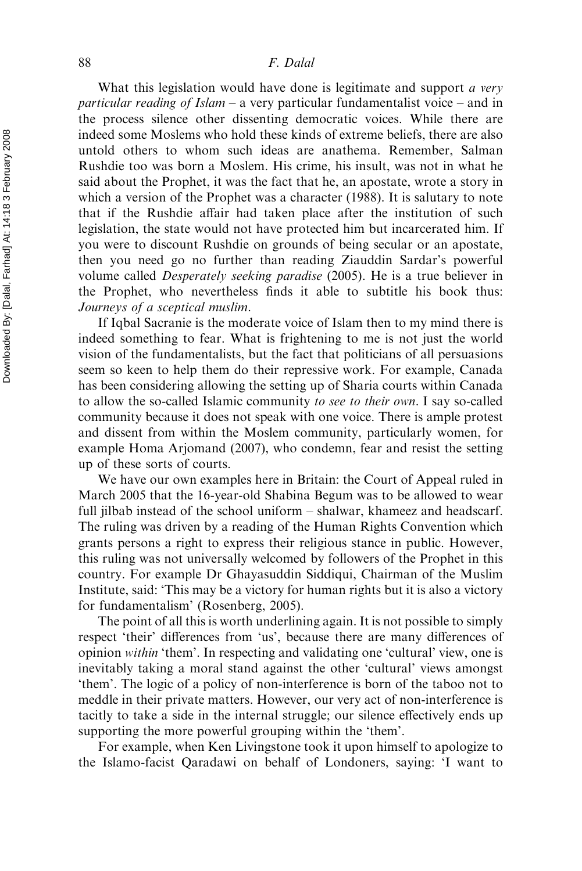#### 88 F. Dalal

What this legislation would have done is legitimate and support *a very particular reading of Islam – a very particular fundamentalist voice – and in* the process silence other dissenting democratic voices. While there are indeed some Moslems who hold these kinds of extreme beliefs, there are also untold others to whom such ideas are anathema. Remember, Salman Rushdie too was born a Moslem. His crime, his insult, was not in what he said about the Prophet, it was the fact that he, an apostate, wrote a story in which a version of the Prophet was a character (1988). It is salutary to note that if the Rushdie affair had taken place after the institution of such legislation, the state would not have protected him but incarcerated him. If you were to discount Rushdie on grounds of being secular or an apostate, then you need go no further than reading Ziauddin Sardar's powerful volume called Desperately seeking paradise (2005). He is a true believer in the Prophet, who nevertheless finds it able to subtitle his book thus: Journeys of a sceptical muslim.

If Iqbal Sacranie is the moderate voice of Islam then to my mind there is indeed something to fear. What is frightening to me is not just the world vision of the fundamentalists, but the fact that politicians of all persuasions seem so keen to help them do their repressive work. For example, Canada has been considering allowing the setting up of Sharia courts within Canada to allow the so-called Islamic community to see to their own. I say so-called community because it does not speak with one voice. There is ample protest and dissent from within the Moslem community, particularly women, for example Homa Arjomand (2007), who condemn, fear and resist the setting up of these sorts of courts.

We have our own examples here in Britain: the Court of Appeal ruled in March 2005 that the 16-year-old Shabina Begum was to be allowed to wear full jilbab instead of the school uniform – shalwar, khameez and headscarf. The ruling was driven by a reading of the Human Rights Convention which grants persons a right to express their religious stance in public. However, this ruling was not universally welcomed by followers of the Prophet in this country. For example Dr Ghayasuddin Siddiqui, Chairman of the Muslim Institute, said: 'This may be a victory for human rights but it is also a victory for fundamentalism' (Rosenberg, 2005).

The point of all this is worth underlining again. It is not possible to simply respect 'their' differences from 'us', because there are many differences of opinion within 'them'. In respecting and validating one 'cultural' view, one is inevitably taking a moral stand against the other 'cultural' views amongst 'them'. The logic of a policy of non-interference is born of the taboo not to meddle in their private matters. However, our very act of non-interference is tacitly to take a side in the internal struggle; our silence effectively ends up supporting the more powerful grouping within the 'them'.

For example, when Ken Livingstone took it upon himself to apologize to the Islamo-facist Qaradawi on behalf of Londoners, saying: 'I want to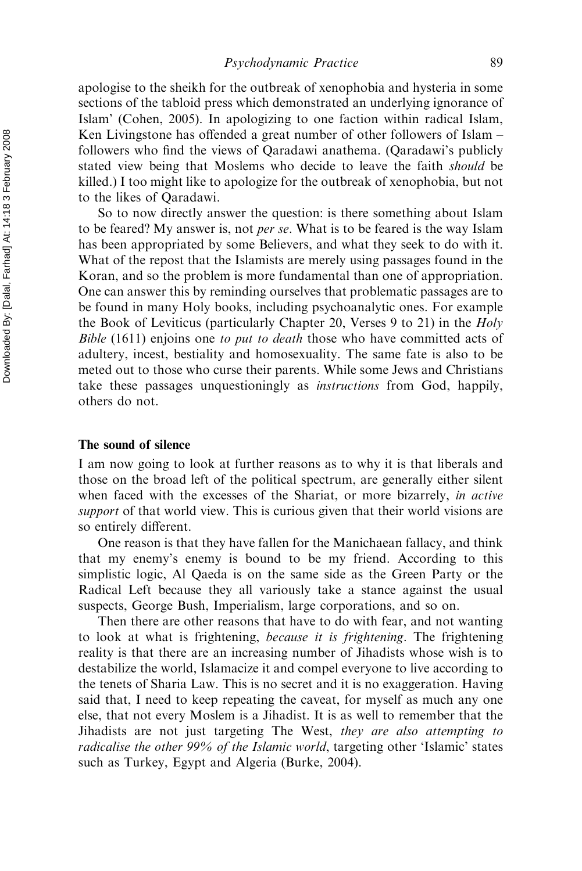apologise to the sheikh for the outbreak of xenophobia and hysteria in some sections of the tabloid press which demonstrated an underlying ignorance of Islam' (Cohen, 2005). In apologizing to one faction within radical Islam, Ken Livingstone has offended a great number of other followers of Islam – followers who find the views of Qaradawi anathema. (Qaradawi's publicly stated view being that Moslems who decide to leave the faith *should* be killed.) I too might like to apologize for the outbreak of xenophobia, but not to the likes of Qaradawi.

So to now directly answer the question: is there something about Islam to be feared? My answer is, not *per se*. What is to be feared is the way Islam has been appropriated by some Believers, and what they seek to do with it. What of the repost that the Islamists are merely using passages found in the Koran, and so the problem is more fundamental than one of appropriation. One can answer this by reminding ourselves that problematic passages are to be found in many Holy books, including psychoanalytic ones. For example the Book of Leviticus (particularly Chapter 20, Verses 9 to 21) in the Holy Bible (1611) enjoins one to put to death those who have committed acts of adultery, incest, bestiality and homosexuality. The same fate is also to be meted out to those who curse their parents. While some Jews and Christians take these passages unquestioningly as instructions from God, happily, others do not.

### The sound of silence

I am now going to look at further reasons as to why it is that liberals and those on the broad left of the political spectrum, are generally either silent when faced with the excesses of the Shariat, or more bizarrely, *in active* support of that world view. This is curious given that their world visions are so entirely different.

One reason is that they have fallen for the Manichaean fallacy, and think that my enemy's enemy is bound to be my friend. According to this simplistic logic, Al Qaeda is on the same side as the Green Party or the Radical Left because they all variously take a stance against the usual suspects, George Bush, Imperialism, large corporations, and so on.

Then there are other reasons that have to do with fear, and not wanting to look at what is frightening, because it is frightening. The frightening reality is that there are an increasing number of Jihadists whose wish is to destabilize the world, Islamacize it and compel everyone to live according to the tenets of Sharia Law. This is no secret and it is no exaggeration. Having said that, I need to keep repeating the caveat, for myself as much any one else, that not every Moslem is a Jihadist. It is as well to remember that the Jihadists are not just targeting The West, they are also attempting to radicalise the other 99% of the Islamic world, targeting other 'Islamic' states such as Turkey, Egypt and Algeria (Burke, 2004).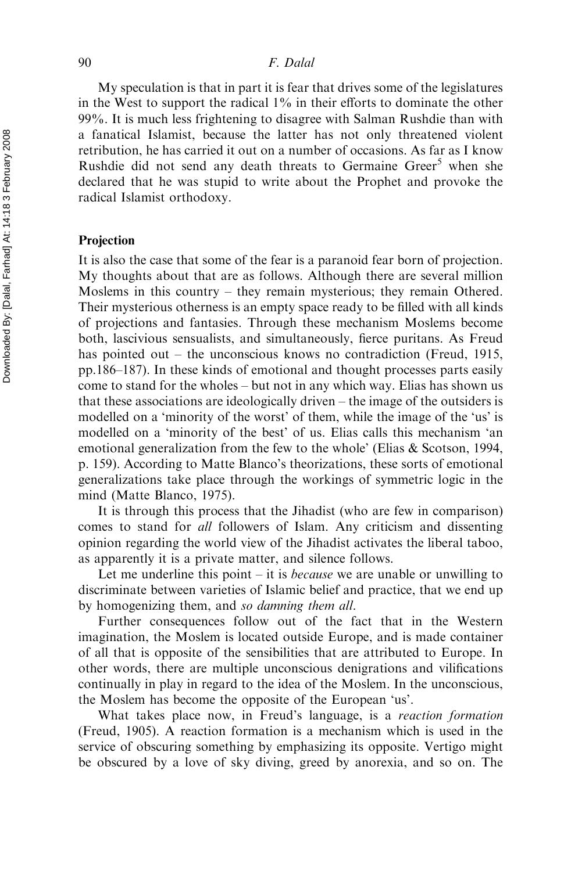My speculation is that in part it is fear that drives some of the legislatures in the West to support the radical  $1\%$  in their efforts to dominate the other 99%. It is much less frightening to disagree with Salman Rushdie than with a fanatical Islamist, because the latter has not only threatened violent retribution, he has carried it out on a number of occasions. As far as I know Rushdie did not send any death threats to Germaine  $Greer<sup>5</sup>$  when she declared that he was stupid to write about the Prophet and provoke the radical Islamist orthodoxy.

### Projection

It is also the case that some of the fear is a paranoid fear born of projection. My thoughts about that are as follows. Although there are several million Moslems in this country – they remain mysterious; they remain Othered. Their mysterious otherness is an empty space ready to be filled with all kinds of projections and fantasies. Through these mechanism Moslems become both, lascivious sensualists, and simultaneously, fierce puritans. As Freud has pointed out – the unconscious knows no contradiction (Freud, 1915, pp.186–187). In these kinds of emotional and thought processes parts easily come to stand for the wholes – but not in any which way. Elias has shown us that these associations are ideologically driven – the image of the outsiders is modelled on a 'minority of the worst' of them, while the image of the 'us' is modelled on a 'minority of the best' of us. Elias calls this mechanism 'an emotional generalization from the few to the whole' (Elias & Scotson, 1994, p. 159). According to Matte Blanco's theorizations, these sorts of emotional generalizations take place through the workings of symmetric logic in the mind (Matte Blanco, 1975).

It is through this process that the Jihadist (who are few in comparison) comes to stand for all followers of Islam. Any criticism and dissenting opinion regarding the world view of the Jihadist activates the liberal taboo, as apparently it is a private matter, and silence follows.

Let me underline this point  $-$  it is *because* we are unable or unwilling to discriminate between varieties of Islamic belief and practice, that we end up by homogenizing them, and so damning them all.

Further consequences follow out of the fact that in the Western imagination, the Moslem is located outside Europe, and is made container of all that is opposite of the sensibilities that are attributed to Europe. In other words, there are multiple unconscious denigrations and vilifications continually in play in regard to the idea of the Moslem. In the unconscious, the Moslem has become the opposite of the European 'us'.

What takes place now, in Freud's language, is a reaction formation (Freud, 1905). A reaction formation is a mechanism which is used in the service of obscuring something by emphasizing its opposite. Vertigo might be obscured by a love of sky diving, greed by anorexia, and so on. The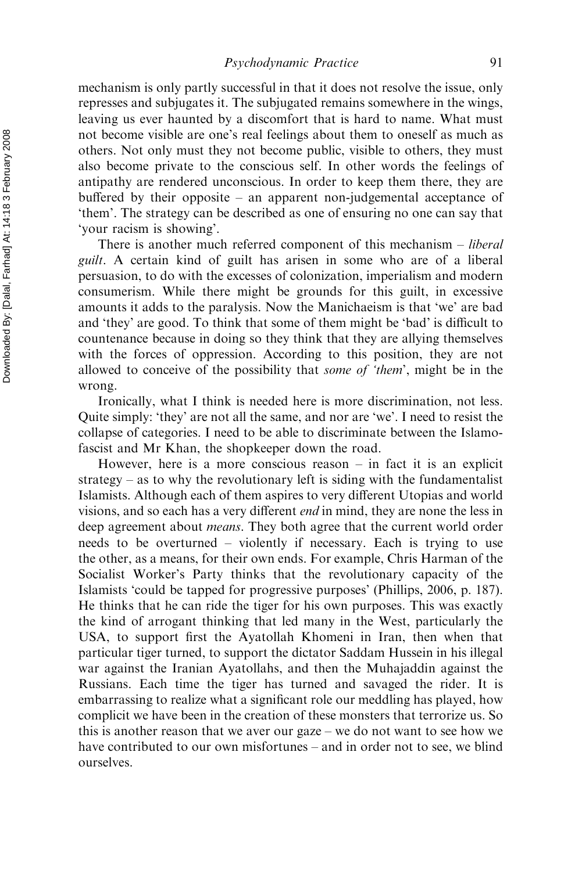mechanism is only partly successful in that it does not resolve the issue, only represses and subjugates it. The subjugated remains somewhere in the wings, leaving us ever haunted by a discomfort that is hard to name. What must not become visible are one's real feelings about them to oneself as much as others. Not only must they not become public, visible to others, they must also become private to the conscious self. In other words the feelings of antipathy are rendered unconscious. In order to keep them there, they are buffered by their opposite – an apparent non-judgemental acceptance of 'them'. The strategy can be described as one of ensuring no one can say that 'your racism is showing'.

There is another much referred component of this mechanism – *liberal* guilt. A certain kind of guilt has arisen in some who are of a liberal persuasion, to do with the excesses of colonization, imperialism and modern consumerism. While there might be grounds for this guilt, in excessive amounts it adds to the paralysis. Now the Manichaeism is that 'we' are bad and 'they' are good. To think that some of them might be 'bad' is difficult to countenance because in doing so they think that they are allying themselves with the forces of oppression. According to this position, they are not allowed to conceive of the possibility that some of 'them', might be in the wrong.

Ironically, what I think is needed here is more discrimination, not less. Quite simply: 'they' are not all the same, and nor are 'we'. I need to resist the collapse of categories. I need to be able to discriminate between the Islamofascist and Mr Khan, the shopkeeper down the road.

However, here is a more conscious reason  $-$  in fact it is an explicit strategy – as to why the revolutionary left is siding with the fundamentalist Islamists. Although each of them aspires to very different Utopias and world visions, and so each has a very different end in mind, they are none the less in deep agreement about *means*. They both agree that the current world order needs to be overturned – violently if necessary. Each is trying to use the other, as a means, for their own ends. For example, Chris Harman of the Socialist Worker's Party thinks that the revolutionary capacity of the Islamists 'could be tapped for progressive purposes' (Phillips, 2006, p. 187). He thinks that he can ride the tiger for his own purposes. This was exactly the kind of arrogant thinking that led many in the West, particularly the USA, to support first the Ayatollah Khomeni in Iran, then when that particular tiger turned, to support the dictator Saddam Hussein in his illegal war against the Iranian Ayatollahs, and then the Muhajaddin against the Russians. Each time the tiger has turned and savaged the rider. It is embarrassing to realize what a significant role our meddling has played, how complicit we have been in the creation of these monsters that terrorize us. So this is another reason that we aver our gaze – we do not want to see how we have contributed to our own misfortunes – and in order not to see, we blind ourselves.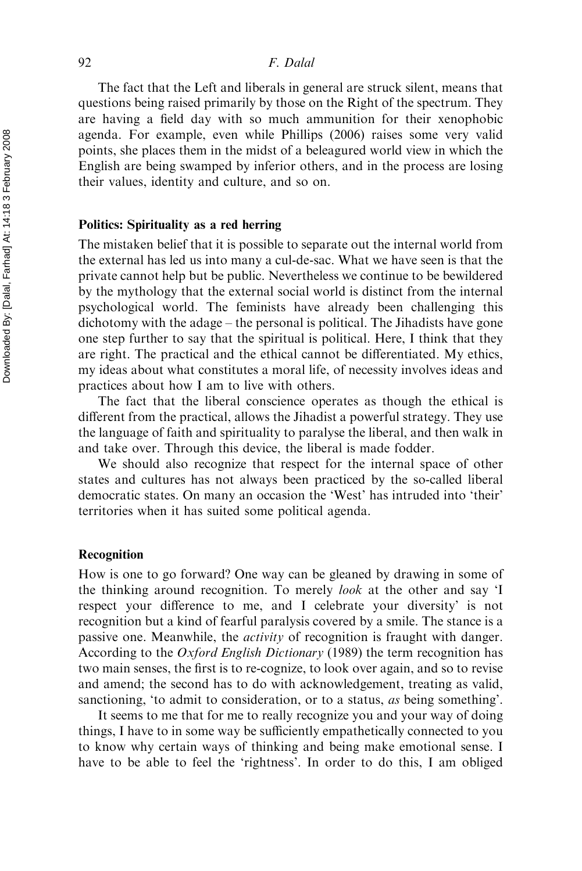### 92 F. Dalal

The fact that the Left and liberals in general are struck silent, means that questions being raised primarily by those on the Right of the spectrum. They are having a field day with so much ammunition for their xenophobic agenda. For example, even while Phillips (2006) raises some very valid points, she places them in the midst of a beleagured world view in which the English are being swamped by inferior others, and in the process are losing their values, identity and culture, and so on.

### Politics: Spirituality as a red herring

The mistaken belief that it is possible to separate out the internal world from the external has led us into many a cul-de-sac. What we have seen is that the private cannot help but be public. Nevertheless we continue to be bewildered by the mythology that the external social world is distinct from the internal psychological world. The feminists have already been challenging this dichotomy with the adage – the personal is political. The Jihadists have gone one step further to say that the spiritual is political. Here, I think that they are right. The practical and the ethical cannot be differentiated. My ethics, my ideas about what constitutes a moral life, of necessity involves ideas and practices about how I am to live with others.

The fact that the liberal conscience operates as though the ethical is different from the practical, allows the Jihadist a powerful strategy. They use the language of faith and spirituality to paralyse the liberal, and then walk in and take over. Through this device, the liberal is made fodder.

We should also recognize that respect for the internal space of other states and cultures has not always been practiced by the so-called liberal democratic states. On many an occasion the 'West' has intruded into 'their' territories when it has suited some political agenda.

### Recognition

How is one to go forward? One way can be gleaned by drawing in some of the thinking around recognition. To merely look at the other and say 'I respect your difference to me, and I celebrate your diversity' is not recognition but a kind of fearful paralysis covered by a smile. The stance is a passive one. Meanwhile, the activity of recognition is fraught with danger. According to the Oxford English Dictionary (1989) the term recognition has two main senses, the first is to re-cognize, to look over again, and so to revise and amend; the second has to do with acknowledgement, treating as valid, sanctioning, 'to admit to consideration, or to a status, as being something'.

It seems to me that for me to really recognize you and your way of doing things, I have to in some way be sufficiently empathetically connected to you to know why certain ways of thinking and being make emotional sense. I have to be able to feel the 'rightness'. In order to do this, I am obliged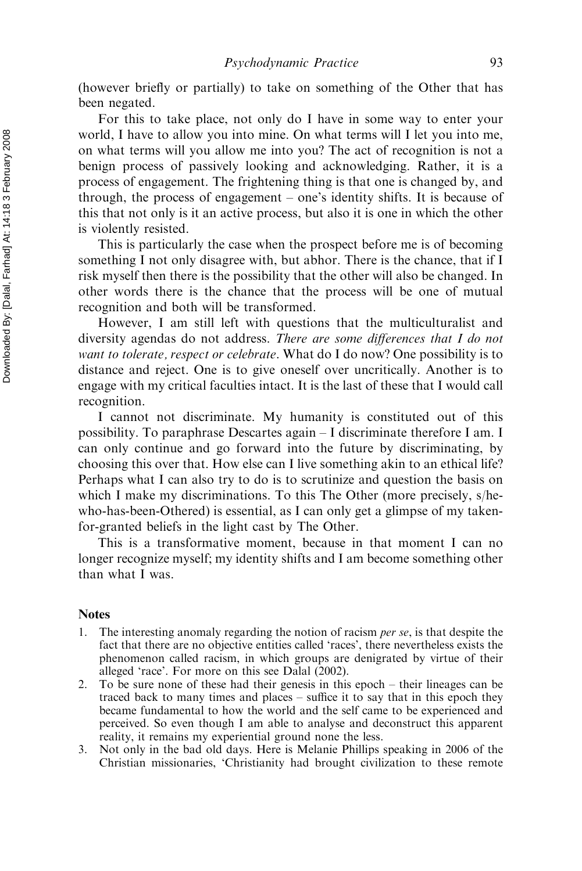(however briefly or partially) to take on something of the Other that has been negated.

For this to take place, not only do I have in some way to enter your world, I have to allow you into mine. On what terms will I let you into me, on what terms will you allow me into you? The act of recognition is not a benign process of passively looking and acknowledging. Rather, it is a process of engagement. The frightening thing is that one is changed by, and through, the process of engagement – one's identity shifts. It is because of this that not only is it an active process, but also it is one in which the other is violently resisted.

This is particularly the case when the prospect before me is of becoming something I not only disagree with, but abhor. There is the chance, that if I risk myself then there is the possibility that the other will also be changed. In other words there is the chance that the process will be one of mutual recognition and both will be transformed.

However, I am still left with questions that the multiculturalist and diversity agendas do not address. There are some differences that I do not want to tolerate, respect or celebrate. What do I do now? One possibility is to distance and reject. One is to give oneself over uncritically. Another is to engage with my critical faculties intact. It is the last of these that I would call recognition.

I cannot not discriminate. My humanity is constituted out of this possibility. To paraphrase Descartes again – I discriminate therefore I am. I can only continue and go forward into the future by discriminating, by choosing this over that. How else can I live something akin to an ethical life? Perhaps what I can also try to do is to scrutinize and question the basis on which I make my discriminations. To this The Other (more precisely, s/hewho-has-been-Othered) is essential, as I can only get a glimpse of my takenfor-granted beliefs in the light cast by The Other.

This is a transformative moment, because in that moment I can no longer recognize myself; my identity shifts and I am become something other than what I was.

# Notes

- 1. The interesting anomaly regarding the notion of racism per se, is that despite the fact that there are no objective entities called 'races', there nevertheless exists the phenomenon called racism, in which groups are denigrated by virtue of their alleged 'race'. For more on this see Dalal (2002).
- 2. To be sure none of these had their genesis in this epoch their lineages can be traced back to many times and places – suffice it to say that in this epoch they became fundamental to how the world and the self came to be experienced and perceived. So even though I am able to analyse and deconstruct this apparent reality, it remains my experiential ground none the less.
- 3. Not only in the bad old days. Here is Melanie Phillips speaking in 2006 of the Christian missionaries, 'Christianity had brought civilization to these remote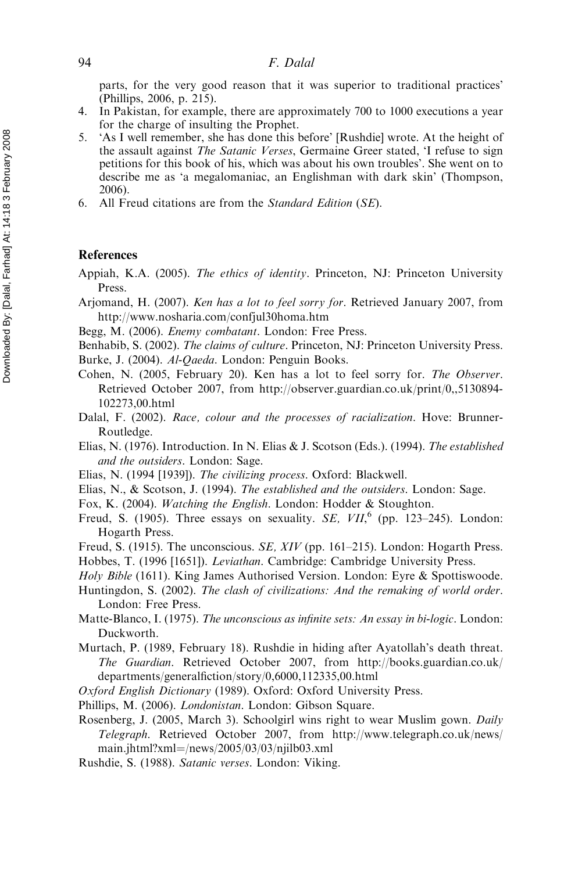parts, for the very good reason that it was superior to traditional practices' (Phillips, 2006, p. 215).

- 4. In Pakistan, for example, there are approximately 700 to 1000 executions a year for the charge of insulting the Prophet.
- 5. 'As I well remember, she has done this before' [Rushdie] wrote. At the height of the assault against The Satanic Verses, Germaine Greer stated, 'I refuse to sign petitions for this book of his, which was about his own troubles'. She went on to describe me as 'a megalomaniac, an Englishman with dark skin' (Thompson, 2006).
- 6. All Freud citations are from the Standard Edition (SE).

### References

Appiah, K.A. (2005). The ethics of identity. Princeton, NJ: Princeton University Press.

Arjomand, H. (2007). Ken has a lot to feel sorry for. Retrieved January 2007, from http://www.nosharia.com/confjul30homa.htm

Begg, M. (2006). Enemy combatant. London: Free Press.

Benhabib, S. (2002). The claims of culture. Princeton, NJ: Princeton University Press.

Burke, J. (2004). Al-Qaeda. London: Penguin Books.

Cohen, N. (2005, February 20). Ken has a lot to feel sorry for. The Observer. Retrieved October 2007, from http://observer.guardian.co.uk/print/0,,5130894- 102273,00.html

- Dalal, F. (2002). Race, colour and the processes of racialization. Hove: Brunner-Routledge.
- Elias, N. (1976). Introduction. In N. Elias & J. Scotson (Eds.). (1994). The established and the outsiders. London: Sage.
- Elias, N. (1994 [1939]). The civilizing process. Oxford: Blackwell.

Elias, N., & Scotson, J. (1994). The established and the outsiders. London: Sage.

- Fox, K. (2004). Watching the English. London: Hodder & Stoughton.
- Freud, S. (1905). Three essays on sexuality. SE,  $VII$ ,  $(pp. 123-245)$ . London: Hogarth Press.

Freud, S. (1915). The unconscious. SE, XIV (pp. 161–215). London: Hogarth Press. Hobbes, T. (1996 [1651]). Leviathan. Cambridge: Cambridge University Press.

Holy Bible (1611). King James Authorised Version. London: Eyre & Spottiswoode.

- Huntingdon, S. (2002). The clash of civilizations: And the remaking of world order. London: Free Press.
- Matte-Blanco, I. (1975). The unconscious as infinite sets: An essay in bi-logic. London: Duckworth.
- Murtach, P. (1989, February 18). Rushdie in hiding after Ayatollah's death threat. The Guardian. Retrieved October 2007, from http://books.guardian.co.uk/ departments/generalfiction/story/0,6000,112335,00.html
- Oxford English Dictionary (1989). Oxford: Oxford University Press.
- Phillips, M. (2006). Londonistan. London: Gibson Square.
- Rosenberg, J. (2005, March 3). Schoolgirl wins right to wear Muslim gown. Daily Telegraph. Retrieved October 2007, from http://www.telegraph.co.uk/news/ main.jhtml?xml=/news/2005/03/03/njilb03.xml
- Rushdie, S. (1988). Satanic verses. London: Viking.